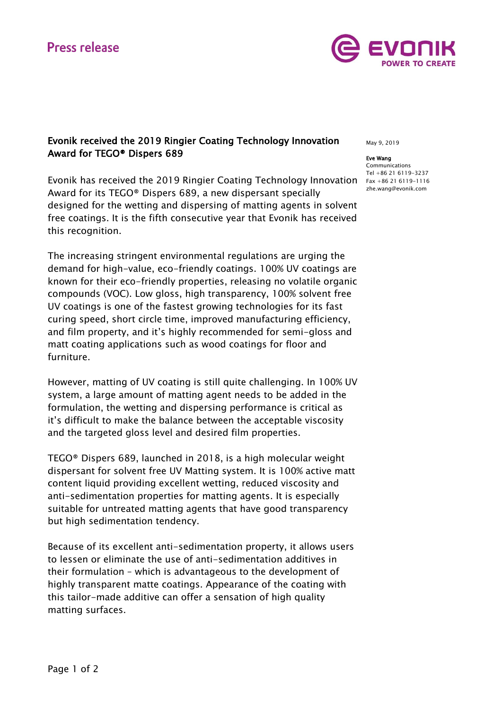

## Evonik received the 2019 Ringier Coating Technology Innovation Award for TEGO® Dispers 689

Evonik has received the 2019 Ringier Coating Technology Innovation Fax +86 21 6119-1116 Award for its TEGO® Dispers 689, a new dispersant specially designed for the wetting and dispersing of matting agents in solvent free coatings. It is the fifth consecutive year that Evonik has received this recognition.

The increasing stringent environmental regulations are urging the demand for high-value, eco-friendly coatings. 100% UV coatings are known for their eco-friendly properties, releasing no volatile organic compounds (VOC). Low gloss, high transparency, 100% solvent free UV coatings is one of the fastest growing technologies for its fast curing speed, short circle time, improved manufacturing efficiency, and film property, and it's highly recommended for semi-gloss and matt coating applications such as wood coatings for floor and furniture.

However, matting of UV coating is still quite challenging. In 100% UV system, a large amount of matting agent needs to be added in the formulation, the wetting and dispersing performance is critical as it's difficult to make the balance between the acceptable viscosity and the targeted gloss level and desired film properties.

TEGO® Dispers 689, launched in 2018, is a high molecular weight dispersant for solvent free UV Matting system. It is 100% active matt content liquid providing excellent wetting, reduced viscosity and anti-sedimentation properties for matting agents. It is especially suitable for untreated matting agents that have good transparency but high sedimentation tendency.

Because of its excellent anti-sedimentation property, it allows users to lessen or eliminate the use of anti-sedimentation additives in their formulation – which is advantageous to the development of highly transparent matte coatings. Appearance of the coating with this tailor-made additive can offer a sensation of high quality matting surfaces.

May 9, 2019

#### Eve Wang

Communications Tel +86 21 6119-3237 [zhe.wang@evonik.com](mailto:zhe.wang@evonik.com)